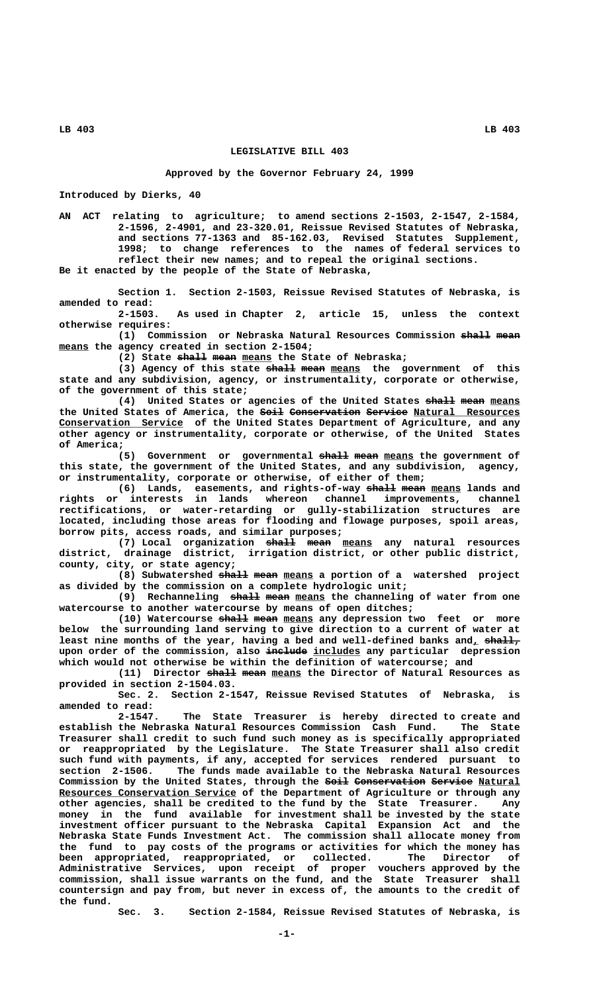**LB 403 LB 403**

## **LEGISLATIVE BILL 403**

## **Approved by the Governor February 24, 1999**

**Introduced by Dierks, 40**

**AN ACT relating to agriculture; to amend sections 2-1503, 2-1547, 2-1584, 2-1596, 2-4901, and 23-320.01, Reissue Revised Statutes of Nebraska, and sections 77-1363 and 85-162.03, Revised Statutes Supplement, 1998; to change references to the names of federal services to reflect their new names; and to repeal the original sections. Be it enacted by the people of the State of Nebraska,**

**Section 1. Section 2-1503, Reissue Revised Statutes of Nebraska, is amended to read:**

As used in Chapter 2, article 15, unless the context  **otherwise requires:**

**(1) Commission or Nebraska Natural Resources Commission shall mean ————— ———— \_\_\_\_\_ means the agency created in section 2-1504;**

(2) State shall mean means the State of Nebraska;

(3) Agency of this state  $\frac{1}{2}$  mean means the government of this **state and any subdivision, agency, or instrumentality, corporate or otherwise, of the government of this state;**

(4) United States or agencies of the United States shall mean means the United States of America, the <del>Soil</del> Conservation Service Natural Resources  **\_\_\_\_\_\_\_\_\_\_\_\_\_\_\_\_\_\_\_\_\_ Conservation Service of the United States Department of Agriculture, and any other agency or instrumentality, corporate or otherwise, of the United States of America;**

(5) Government or governmental **shall mean** means the government of **this state, the government of the United States, and any subdivision, agency, or instrumentality, corporate or otherwise, of either of them;**

(6) Lands, easements, and rights-of-way **shall mean** means lands and **rights or interests in lands whereon channel improvements, channel rectifications, or water-retarding or gully-stabilization structures are located, including those areas for flooding and flowage purposes, spoil areas, borrow pits, access roads, and similar purposes;**

(7) Local organization  $\frac{1}{x}$   $\frac{1}{x}$   $\frac{1}{x}$   $\frac{1}{x}$   $\frac{1}{x}$   $\frac{1}{x}$   $\frac{1}{x}$   $\frac{1}{x}$   $\frac{1}{x}$   $\frac{1}{x}$   $\frac{1}{x}$   $\frac{1}{x}$   $\frac{1}{x}$   $\frac{1}{x}$   $\frac{1}{x}$   $\frac{1}{x}$   $\frac{1}{x}$   $\frac{1}{x}$   $\frac{1}{x}$   $\frac{1}{x}$ **district, drainage district, irrigation district, or other public district, county, city, or state agency;**

(8) Subwatershed shall mean means a portion of a watershed project **as divided by the commission on a complete hydrologic unit;**

(9) Rechanneling  $\frac{1}{2}$   $\frac{1}{2}$   $\frac{1}{2}$   $\frac{1}{2}$   $\frac{1}{2}$   $\frac{1}{2}$   $\frac{1}{2}$   $\frac{1}{2}$   $\frac{1}{2}$   $\frac{1}{2}$   $\frac{1}{2}$   $\frac{1}{2}$   $\frac{1}{2}$   $\frac{1}{2}$   $\frac{1}{2}$   $\frac{1}{2}$   $\frac{1}{2}$   $\frac{1}{2}$   $\frac{1}{2}$   $\frac{1}{2}$   $\frac{1$ **watercourse to another watercourse by means of open ditches;**

(10) Watercourse shall mean means any depression two feet or more **below the surrounding land serving to give direction to a current of water at** least nine months of the year, having a bed and well-defined banks and<sub>L</sub> shall<sub>7</sub> upon order of the commission, also include includes any particular depression **which would not otherwise be within the definition of watercourse; and**

(11) Director shall mean means the Director of Natural Resources as **provided in section 2-1504.03.**

**Sec. 2. Section 2-1547, Reissue Revised Statutes of Nebraska, is amended to read:**

**2-1547. The State Treasurer is hereby directed to create and establish the Nebraska Natural Resources Commission Cash Fund. The State Treasurer shall credit to such fund such money as is specifically appropriated or reappropriated by the Legislature. The State Treasurer shall also credit such fund with payments, if any, accepted for services rendered pursuant to section 2-1506. The funds made available to the Nebraska Natural Resources** Commission by the United States, through the <del>Soil Conservation Service</del> Natural **Resources Conservation Service of the Department of Agriculture or through any other agencies, shall be credited to the fund by the State Treasurer. Any money in the fund available for investment shall be invested by the state investment officer pursuant to the Nebraska Capital Expansion Act and the Nebraska State Funds Investment Act. The commission shall allocate money from the fund to pay costs of the programs or activities for which the money has been appropriated, reappropriated, or collected. The Director of Administrative Services, upon receipt of proper vouchers approved by the commission, shall issue warrants on the fund, and the State Treasurer shall countersign and pay from, but never in excess of, the amounts to the credit of the fund.**

**Sec. 3. Section 2-1584, Reissue Revised Statutes of Nebraska, is**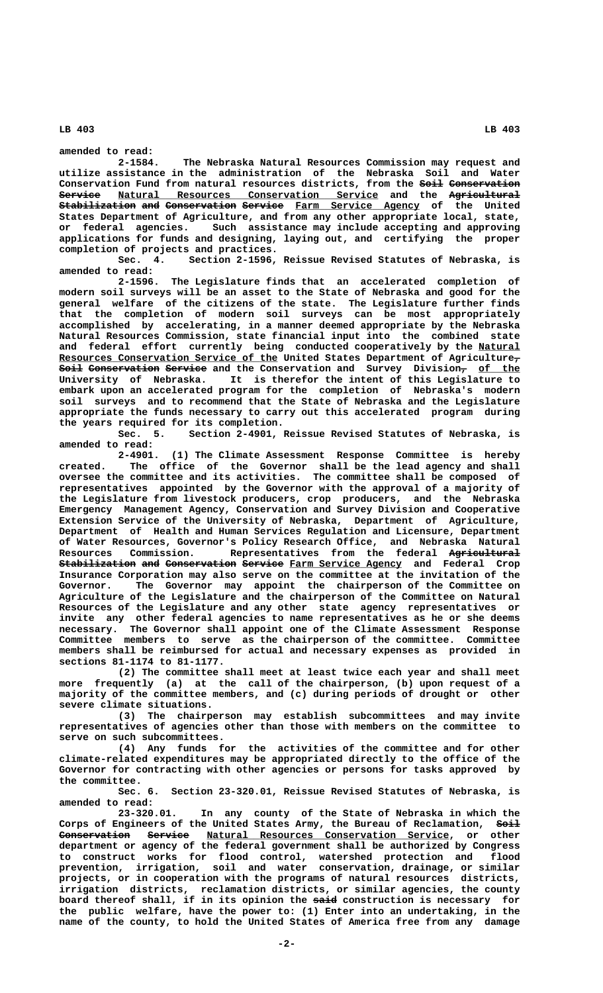**LB 403 LB 403**

**amended to read:**

**2-1584. The Nebraska Natural Resources Commission may request and utilize assistance in the administration of the Nebraska Soil and Water Conservation Fund from natural resources districts, from the Soil Conservation ———— ————————————**  $S$ ervice <u>Natural Resources Conservation Service</u> and the <del>Agricultural</del> **Stabilization and Conservation Service Farm Service Agency of the United ————————————— ——— ———————————— ——————— \_\_\_\_\_\_\_\_\_\_\_\_\_\_\_\_\_\_\_\_\_ States Department of Agriculture, and from any other appropriate local, state, or federal agencies. Such assistance may include accepting and approving applications for funds and designing, laying out, and certifying the proper completion of projects and practices.**

**Sec. 4. Section 2-1596, Reissue Revised Statutes of Nebraska, is amended to read:**

**2-1596. The Legislature finds that an accelerated completion of modern soil surveys will be an asset to the State of Nebraska and good for the general welfare of the citizens of the state. The Legislature further finds that the completion of modern soil surveys can be most appropriately accomplished by accelerating, in a manner deemed appropriate by the Nebraska Natural Resources Commission, state financial input into the combined state** and federal effort currently being conducted cooperatively by the Natural  **\_\_\_\_\_\_\_\_\_\_\_\_\_\_\_\_\_\_\_\_\_\_\_\_\_\_\_\_\_\_\_\_\_\_\_\_\_ — Resources Conservation Service of the United States Department of Agriculture,**  $S$ oil Conservation Service and the Conservation and Survey Division<sub>7</sub> of the **University of Nebraska. It is therefor the intent of this Legislature to embark upon an accelerated program for the completion of Nebraska's modern soil surveys and to recommend that the State of Nebraska and the Legislature appropriate the funds necessary to carry out this accelerated program during the years required for its completion.**

**Sec. 5. Section 2-4901, Reissue Revised Statutes of Nebraska, is amended to read:**

**2-4901. (1) The Climate Assessment Response Committee is hereby created. The office of the Governor shall be the lead agency and shall oversee the committee and its activities. The committee shall be composed of representatives appointed by the Governor with the approval of a majority of the Legislature from livestock producers, crop producers, and the Nebraska Emergency Management Agency, Conservation and Survey Division and Cooperative Extension Service of the University of Nebraska, Department of Agriculture, Department of Health and Human Services Regulation and Licensure, Department of Water Resources, Governor's Policy Research Office, and Nebraska Natural Resources Commission. Representatives from the federal Agricultural ———————————— Stabilization and Conservation Service Farm Service Agency and Federal Crop Insurance Corporation may also serve on the committee at the invitation of the Governor. The Governor may appoint the chairperson of the Committee on Agriculture of the Legislature and the chairperson of the Committee on Natural Resources of the Legislature and any other state agency representatives or invite any other federal agencies to name representatives as he or she deems necessary. The Governor shall appoint one of the Climate Assessment Response Committee members to serve as the chairperson of the committee. Committee members shall be reimbursed for actual and necessary expenses as provided in sections 81-1174 to 81-1177.**

**(2) The committee shall meet at least twice each year and shall meet more frequently (a) at the call of the chairperson, (b) upon request of a majority of the committee members, and (c) during periods of drought or other severe climate situations.**

**(3) The chairperson may establish subcommittees and may invite representatives of agencies other than those with members on the committee to serve on such subcommittees.**

**(4) Any funds for the activities of the committee and for other climate-related expenditures may be appropriated directly to the office of the Governor for contracting with other agencies or persons for tasks approved by the committee.**

**Sec. 6. Section 23-320.01, Reissue Revised Statutes of Nebraska, is amended to read:**

**23-320.01. In any county of the State of Nebraska in which the** Corps of Engineers of the United States Army, the Bureau of Reclamation,  $66\text{h}$ **Conservation Service Natural Resources Conservation Service, or other department or agency of the federal government shall be authorized by Congress to construct works for flood control, watershed protection and flood prevention, irrigation, soil and water conservation, drainage, or similar projects, or in cooperation with the programs of natural resources districts, irrigation districts, reclamation districts, or similar agencies, the county** board thereof shall, if in its opinion the said construction is necessary for **the public welfare, have the power to: (1) Enter into an undertaking, in the name of the county, to hold the United States of America free from any damage**